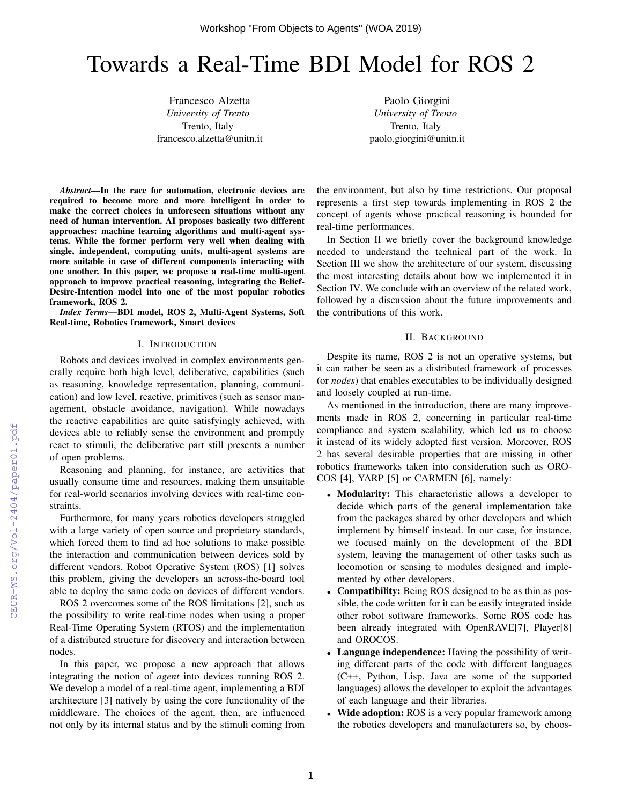# Towards a Real-Time BDI Model for ROS 2

Francesco Alzetta *University of Trento* Trento, Italy francesco.alzetta@unitn.it

Paolo Giorgini *University of Trento* Trento, Italy paolo.giorgini@unitn.it

*Abstract*—In the race for automation, electronic devices are required to become more and more intelligent in order to make the correct choices in unforeseen situations without any need of human intervention. AI proposes basically two different approaches: machine learning algorithms and multi-agent systems. While the former perform very well when dealing with single, independent, computing units, multi-agent systems are more suitable in case of different components interacting with one another. In this paper, we propose a real-time multi-agent approach to improve practical reasoning, integrating the Belief-Desire-Intention model into one of the most popular robotics framework, ROS 2.

*Index Terms*—BDI model, ROS 2, Multi-Agent Systems, Soft Real-time, Robotics framework, Smart devices

#### I. INTRODUCTION

Robots and devices involved in complex environments generally require both high level, deliberative, capabilities (such as reasoning, knowledge representation, planning, communication) and low level, reactive, primitives (such as sensor management, obstacle avoidance, navigation). While nowadays the reactive capabilities are quite satisfyingly achieved, with devices able to reliably sense the environment and promptly react to stimuli, the deliberative part still presents a number of open problems.

Reasoning and planning, for instance, are activities that usually consume time and resources, making them unsuitable for real-world scenarios involving devices with real-time constraints.

Furthermore, for many years robotics developers struggled with a large variety of open source and proprietary standards, which forced them to find ad hoc solutions to make possible the interaction and communication between devices sold by different vendors. Robot Operative System (ROS) [1] solves this problem, giving the developers an across-the-board tool able to deploy the same code on devices of different vendors.

ROS 2 overcomes some of the ROS limitations [2], such as the possibility to write real-time nodes when using a proper Real-Time Operating System (RTOS) and the implementation of a distributed structure for discovery and interaction between nodes.

In this paper, we propose a new approach that allows integrating the notion of *agent* into devices running ROS 2. We develop a model of a real-time agent, implementing a BDI architecture [3] natively by using the core functionality of the middleware. The choices of the agent, then, are influenced not only by its internal status and by the stimuli coming from

the environment, but also by time restrictions. Our proposal represents a first step towards implementing in ROS 2 the concept of agents whose practical reasoning is bounded for real-time performances.

In Section II we briefly cover the background knowledge needed to understand the technical part of the work. In Section III we show the architecture of our system, discussing the most interesting details about how we implemented it in Section IV. We conclude with an overview of the related work, followed by a discussion about the future improvements and the contributions of this work.

## II. BACKGROUND

Despite its name, ROS 2 is not an operative systems, but it can rather be seen as a distributed framework of processes (or *nodes*) that enables executables to be individually designed and loosely coupled at run-time.

As mentioned in the introduction, there are many improvements made in ROS 2, concerning in particular real-time compliance and system scalability, which led us to choose it instead of its widely adopted first version. Moreover, ROS 2 has several desirable properties that are missing in other robotics frameworks taken into consideration such as ORO-COS [4], YARP [5] or CARMEN [6], namely:

- Modularity: This characteristic allows a developer to decide which parts of the general implementation take from the packages shared by other developers and which implement by himself instead. In our case, for instance, we focused mainly on the development of the BDI system, leaving the management of other tasks such as locomotion or sensing to modules designed and implemented by other developers.
- Compatibility: Being ROS designed to be as thin as possible, the code written for it can be easily integrated inside other robot software frameworks. Some ROS code has been already integrated with OpenRAVE[7], Player[8] and OROCOS.
- Language independence: Having the possibility of writing different parts of the code with different languages (C++, Python, Lisp, Java are some of the supported languages) allows the developer to exploit the advantages of each language and their libraries.
- Wide adoption: ROS is a very popular framework among the robotics developers and manufacturers so, by choos-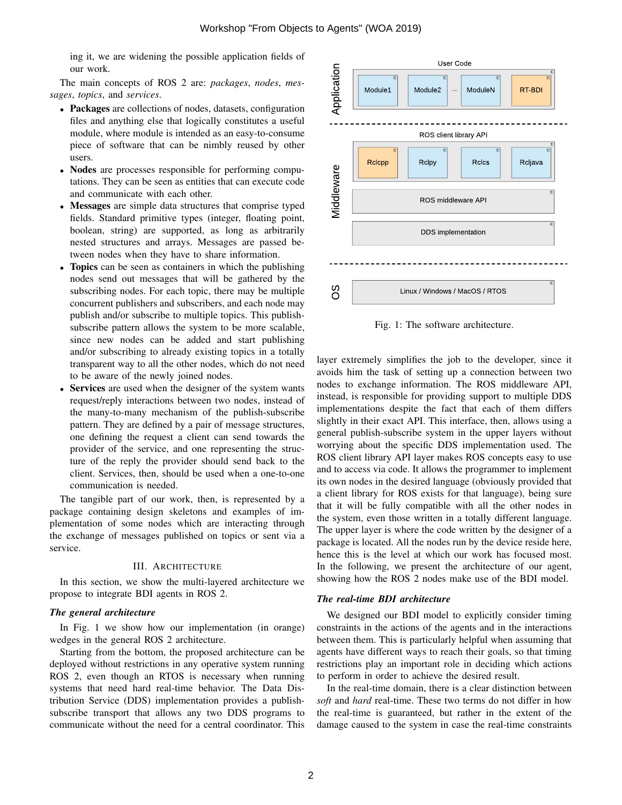ing it, we are widening the possible application fields of our work.

The main concepts of ROS 2 are: *packages*, *nodes*, *messages*, *topics*, and *services*.

- Packages are collections of nodes, datasets, configuration files and anything else that logically constitutes a useful module, where module is intended as an easy-to-consume piece of software that can be nimbly reused by other users.
- Nodes are processes responsible for performing computations. They can be seen as entities that can execute code and communicate with each other.
- Messages are simple data structures that comprise typed fields. Standard primitive types (integer, floating point, boolean, string) are supported, as long as arbitrarily nested structures and arrays. Messages are passed between nodes when they have to share information. boolean, string) are supported, as long as arbitrarily nested structures and arrays. Messages are passed between nodes when they have to share information.<br>• Topics can be seen as containers in which the publishing
- nodes send out messages that will be gathered by the subscribing nodes. For each topic, there may be multiple concurrent publishers and subscribers, and each node may publish and/or subscribe to multiple topics. This publishsubscribe pattern allows the system to be more scalable, since new nodes can be added and start publishing and/or subscribing to already existing topics in a totally transparent way to all the other nodes, which do not need to be aware of the newly joined nodes. ws<br>n t<br>alre<br>the
- Services are used when the designer of the system wants request/reply interactions between two nodes, instead of the many-to-many mechanism of the publish-subscribe pattern. They are defined by a pair of message structures, one defining the request a client can send towards the provider of the service, and one representing the structure of the reply the provider should send back to the client. Services, then, should be used when a one-to-one communication is needed.

The tangible part of our work, then, is represented by a package containing design skeletons and examples of implementation of some nodes which are interacting through the exchange of messages published on topics or sent via a service.

## III. ARCHITECTURE

In this section, we show the multi-layered architecture we propose to integrate BDI agents in ROS 2.

#### *The general architecture*

In Fig. 1 we show how our implementation (in orange) wedges in the general ROS 2 architecture.

Starting from the bottom, the proposed architecture can be deployed without restrictions in any operative system running ROS 2, even though an RTOS is necessary when running systems that need hard real-time behavior. The Data Distribution Service (DDS) implementation provides a publishsubscribe transport that allows any two DDS programs to communicate without the need for a central coordinator. This



Fig. 1: The software architecture.

layer extremely simplifies the job to the developer, since it avoids him the task of setting up a connection between two nodes to exchange information. The ROS middleware API, instead, is responsible for providing support to multiple DDS implementations despite the fact that each of them differs slightly in their exact API. This interface, then, allows using a general publish-subscribe system in the upper layers without worrying about the specific DDS implementation used. The ROS client library API layer makes ROS concepts easy to use and to access via code. It allows the programmer to implement its own nodes in the desired language (obviously provided that a client library for ROS exists for that language), being sure that it will be fully compatible with all the other nodes in the system, even those written in a totally different language. The upper layer is where the code written by the designer of a package is located. All the nodes run by the device reside here, hence this is the level at which our work has focused most. In the following, we present the architecture of our agent, showing how the ROS 2 nodes make use of the BDI model.

#### *The real-time BDI architecture*

We designed our BDI model to explicitly consider timing constraints in the actions of the agents and in the interactions between them. This is particularly helpful when assuming that agents have different ways to reach their goals, so that timing restrictions play an important role in deciding which actions to perform in order to achieve the desired result.

In the real-time domain, there is a clear distinction between *soft* and *hard* real-time. These two terms do not differ in how the real-time is guaranteed, but rather in the extent of the damage caused to the system in case the real-time constraints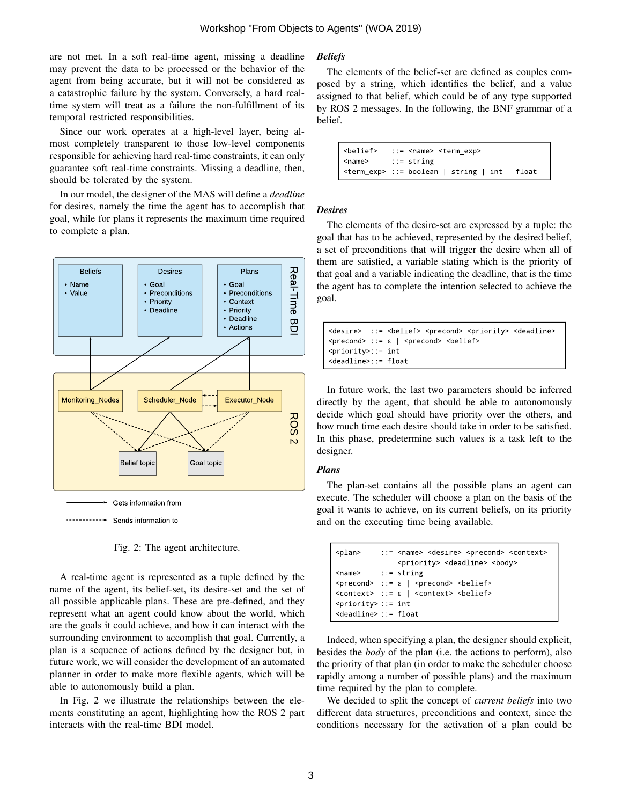are not met. In a soft real-time agent, missing a deadline may prevent the data to be processed or the behavior of the agent from being accurate, but it will not be considered as a catastrophic failure by the system. Conversely, a hard realtime system will treat as a failure the non-fulfillment of its temporal restricted responsibilities.

Since our work operates at a high-level layer, being almost completely transparent to those low-level components responsible for achieving hard real-time constraints, it can only guarantee soft real-time constraints. Missing a deadline, then, should be tolerated by the system.

In our model, the designer of the MAS will define a *deadline* for desires, namely the time the agent has to accomplish that goal, while for plans it represents the maximum time required to complete a plan.



Fig. 2: The agent architecture.

A real-time agent is represented as a tuple defined by the name of the agent, its belief-set, its desire-set and the set of all possible applicable plans. These are pre-defined, and they represent what an agent could know about the world, which are the goals it could achieve, and how it can interact with the surrounding environment to accomplish that goal. Currently, a plan is a sequence of actions defined by the designer but, in future work, we will consider the development of an automated planner in order to make more flexible agents, which will be able to autonomously build a plan.

In Fig. 2 we illustrate the relationships between the elements constituting an agent, highlighting how the ROS 2 part interacts with the real-time BDI model.

# *Beliefs*

The elements of the belief-set are defined as couples composed by a string, which identifies the belief, and a value assigned to that belief, which could be of any type supported by ROS 2 messages. In the following, the BNF grammar of a belief.

> <belief> ::= <name> <term exp> <name> ::= string <term\_exp> ::= boolean | string | int | float

# *Desires*

The elements of the desire-set are expressed by a tuple: the goal that has to be achieved, represented by the desired belief, a set of preconditions that will trigger the desire when all of them are satisfied, a variable stating which is the priority of that goal and a variable indicating the deadline, that is the time the agent has to complete the intention selected to achieve the goal.

```
<desire> ::= <belief> <precond> <priority> <deadline>
\langleprecond> ::= \epsilon | \langleprecond> \langlebelief>
<priority>::= int
<deadl i ne>: : = f l oat
```
In future work, the last two parameters should be inferred directly by the agent, that should be able to autonomously decide which goal should have priority over the others, and how much time each desire should take in order to be satisfied. In this phase, predetermine such values is a task left to the designer.

# *Plans*

The plan-set contains all the possible plans an agent can execute. The scheduler will choose a plan on the basis of the goal it wants to achieve, on its current beliefs, on its priority and on the executing time being available.

| <plan></plan>                           | ::= <name> <desire> <precond> <context><br/><priority> <deadline> <body></body></deadline></priority></context></precond></desire></name> |
|-----------------------------------------|-------------------------------------------------------------------------------------------------------------------------------------------|
|                                         | $<$ name> ::= string                                                                                                                      |
|                                         | $\vert$ <precond> ::= <math>\epsilon</math>   <precond> <belief></belief></precond></precond>                                             |
|                                         | $\text{const}$ ::= $\epsilon$   $\text{const}$ $\text{const}$ $\text{shift}$                                                              |
| $\vert$ <priority> ::= int</priority>   |                                                                                                                                           |
| $\vert$ <deadline> ::= float</deadline> |                                                                                                                                           |

Indeed, when specifying a plan, the designer should explicit, besides the *body* of the plan (i.e. the actions to perform), also the priority of that plan (in order to make the scheduler choose rapidly among a number of possible plans) and the maximum time required by the plan to complete.

We decided to split the concept of *current beliefs* into two different data structures, preconditions and context, since the conditions necessary for the activation of a plan could be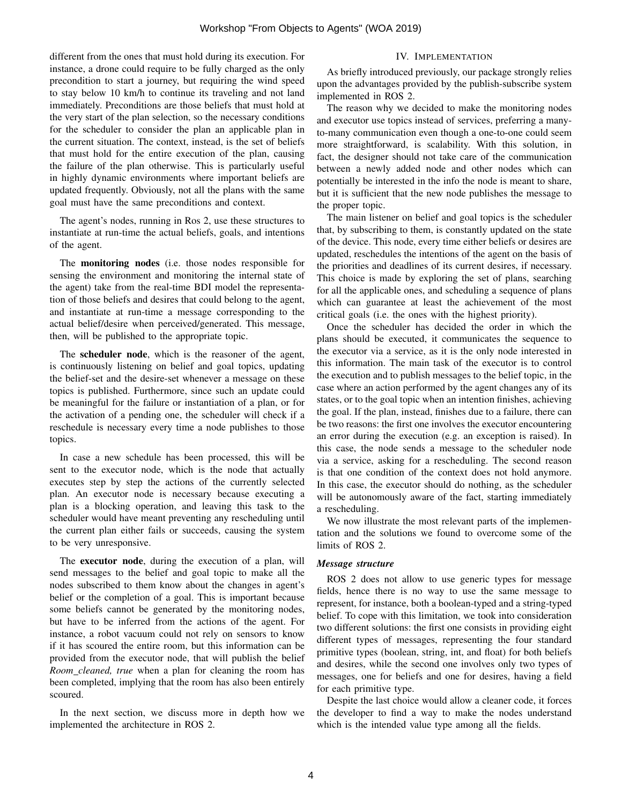different from the ones that must hold during its execution. For instance, a drone could require to be fully charged as the only precondition to start a journey, but requiring the wind speed to stay below 10 km/h to continue its traveling and not land immediately. Preconditions are those beliefs that must hold at the very start of the plan selection, so the necessary conditions for the scheduler to consider the plan an applicable plan in the current situation. The context, instead, is the set of beliefs that must hold for the entire execution of the plan, causing the failure of the plan otherwise. This is particularly useful in highly dynamic environments where important beliefs are updated frequently. Obviously, not all the plans with the same goal must have the same preconditions and context.

The agent's nodes, running in Ros 2, use these structures to instantiate at run-time the actual beliefs, goals, and intentions of the agent.

The monitoring nodes (i.e. those nodes responsible for sensing the environment and monitoring the internal state of the agent) take from the real-time BDI model the representation of those beliefs and desires that could belong to the agent, and instantiate at run-time a message corresponding to the actual belief/desire when perceived/generated. This message, then, will be published to the appropriate topic.

The scheduler node, which is the reasoner of the agent, is continuously listening on belief and goal topics, updating the belief-set and the desire-set whenever a message on these topics is published. Furthermore, since such an update could be meaningful for the failure or instantiation of a plan, or for the activation of a pending one, the scheduler will check if a reschedule is necessary every time a node publishes to those topics.

In case a new schedule has been processed, this will be sent to the executor node, which is the node that actually executes step by step the actions of the currently selected plan. An executor node is necessary because executing a plan is a blocking operation, and leaving this task to the scheduler would have meant preventing any rescheduling until the current plan either fails or succeeds, causing the system to be very unresponsive.

The executor node, during the execution of a plan, will send messages to the belief and goal topic to make all the nodes subscribed to them know about the changes in agent's belief or the completion of a goal. This is important because some beliefs cannot be generated by the monitoring nodes, but have to be inferred from the actions of the agent. For instance, a robot vacuum could not rely on sensors to know if it has scoured the entire room, but this information can be provided from the executor node, that will publish the belief *Room cleaned, true* when a plan for cleaning the room has been completed, implying that the room has also been entirely scoured.

In the next section, we discuss more in depth how we implemented the architecture in ROS 2.

## IV. IMPLEMENTATION

As briefly introduced previously, our package strongly relies upon the advantages provided by the publish-subscribe system implemented in ROS 2.

The reason why we decided to make the monitoring nodes and executor use topics instead of services, preferring a manyto-many communication even though a one-to-one could seem more straightforward, is scalability. With this solution, in fact, the designer should not take care of the communication between a newly added node and other nodes which can potentially be interested in the info the node is meant to share, but it is sufficient that the new node publishes the message to the proper topic.

The main listener on belief and goal topics is the scheduler that, by subscribing to them, is constantly updated on the state of the device. This node, every time either beliefs or desires are updated, reschedules the intentions of the agent on the basis of the priorities and deadlines of its current desires, if necessary. This choice is made by exploring the set of plans, searching for all the applicable ones, and scheduling a sequence of plans which can guarantee at least the achievement of the most critical goals (i.e. the ones with the highest priority).

Once the scheduler has decided the order in which the plans should be executed, it communicates the sequence to the executor via a service, as it is the only node interested in this information. The main task of the executor is to control the execution and to publish messages to the belief topic, in the case where an action performed by the agent changes any of its states, or to the goal topic when an intention finishes, achieving the goal. If the plan, instead, finishes due to a failure, there can be two reasons: the first one involves the executor encountering an error during the execution (e.g. an exception is raised). In this case, the node sends a message to the scheduler node via a service, asking for a rescheduling. The second reason is that one condition of the context does not hold anymore. In this case, the executor should do nothing, as the scheduler will be autonomously aware of the fact, starting immediately a rescheduling.

We now illustrate the most relevant parts of the implementation and the solutions we found to overcome some of the limits of ROS 2.

#### *Message structure*

ROS 2 does not allow to use generic types for message fields, hence there is no way to use the same message to represent, for instance, both a boolean-typed and a string-typed belief. To cope with this limitation, we took into consideration two different solutions: the first one consists in providing eight different types of messages, representing the four standard primitive types (boolean, string, int, and float) for both beliefs and desires, while the second one involves only two types of messages, one for beliefs and one for desires, having a field for each primitive type.

Despite the last choice would allow a cleaner code, it forces the developer to find a way to make the nodes understand which is the intended value type among all the fields.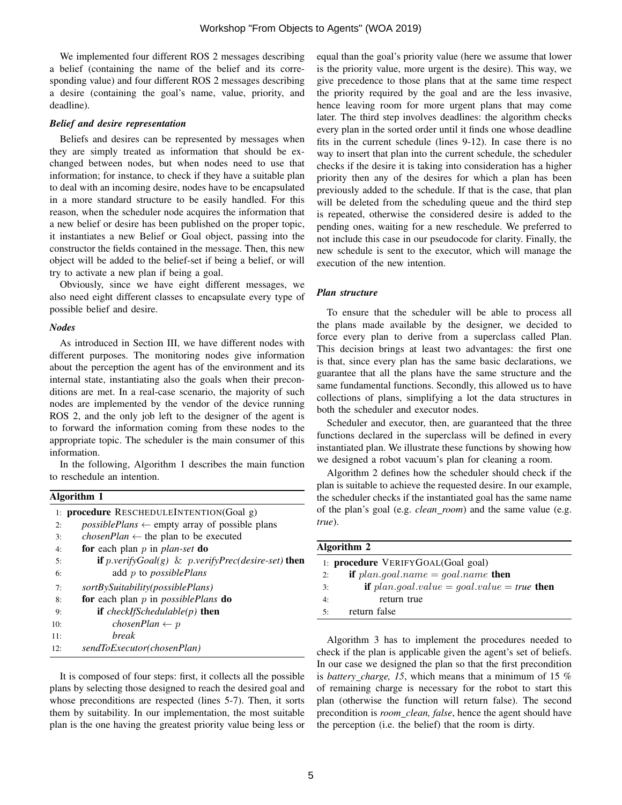We implemented four different ROS 2 messages describing a belief (containing the name of the belief and its corresponding value) and four different ROS 2 messages describing a desire (containing the goal's name, value, priority, and deadline).

## *Belief and desire representation*

Beliefs and desires can be represented by messages when they are simply treated as information that should be exchanged between nodes, but when nodes need to use that information; for instance, to check if they have a suitable plan to deal with an incoming desire, nodes have to be encapsulated in a more standard structure to be easily handled. For this reason, when the scheduler node acquires the information that a new belief or desire has been published on the proper topic, it instantiates a new Belief or Goal object, passing into the constructor the fields contained in the message. Then, this new object will be added to the belief-set if being a belief, or will try to activate a new plan if being a goal.

Obviously, since we have eight different messages, we also need eight different classes to encapsulate every type of possible belief and desire.

#### *Nodes*

As introduced in Section III, we have different nodes with different purposes. The monitoring nodes give information about the perception the agent has of the environment and its internal state, instantiating also the goals when their preconditions are met. In a real-case scenario, the majority of such nodes are implemented by the vendor of the device running ROS 2, and the only job left to the designer of the agent is to forward the information coming from these nodes to the appropriate topic. The scheduler is the main consumer of this information.

In the following, Algorithm 1 describes the main function to reschedule an intention.

| Algorithm 1 |                                                                            |  |
|-------------|----------------------------------------------------------------------------|--|
|             | 1: <b>procedure</b> RESCHEDULEINTENTION(Goal g)                            |  |
| 2:          | <i>possiblePlans</i> $\leftarrow$ empty array of possible plans            |  |
| 3:          | <i>chosenPlan</i> $\leftarrow$ the plan to be executed                     |  |
| 4:          | for each plan $p$ in plan-set do                                           |  |
| 5:          | <b>if</b> $p\text{.}verifyGoal(g) \& p\text{.}verifyPrec(desire-set)$ then |  |
| 6:          | add $p$ to possiblePlans                                                   |  |
| 7:          | sortBySuitability(possiblePlans)                                           |  |
| 8:          | for each plan $p$ in <i>possiblePlans</i> do                               |  |
| 9:          | <b>if</b> checkIfSchedulable(p) <b>then</b>                                |  |
| 10:         | chosenPlan $\leftarrow p$                                                  |  |
| 11:         | <i>break</i>                                                               |  |
| 12:         | sendToExecutor(chosenPlan)                                                 |  |

It is composed of four steps: first, it collects all the possible plans by selecting those designed to reach the desired goal and whose preconditions are respected (lines 5-7). Then, it sorts them by suitability. In our implementation, the most suitable plan is the one having the greatest priority value being less or equal than the goal's priority value (here we assume that lower is the priority value, more urgent is the desire). This way, we give precedence to those plans that at the same time respect the priority required by the goal and are the less invasive, hence leaving room for more urgent plans that may come later. The third step involves deadlines: the algorithm checks every plan in the sorted order until it finds one whose deadline fits in the current schedule (lines 9-12). In case there is no way to insert that plan into the current schedule, the scheduler checks if the desire it is taking into consideration has a higher priority then any of the desires for which a plan has been previously added to the schedule. If that is the case, that plan will be deleted from the scheduling queue and the third step is repeated, otherwise the considered desire is added to the pending ones, waiting for a new reschedule. We preferred to not include this case in our pseudocode for clarity. Finally, the new schedule is sent to the executor, which will manage the execution of the new intention.

## *Plan structure*

To ensure that the scheduler will be able to process all the plans made available by the designer, we decided to force every plan to derive from a superclass called Plan. This decision brings at least two advantages: the first one is that, since every plan has the same basic declarations, we guarantee that all the plans have the same structure and the same fundamental functions. Secondly, this allowed us to have collections of plans, simplifying a lot the data structures in both the scheduler and executor nodes.

Scheduler and executor, then, are guaranteed that the three functions declared in the superclass will be defined in every instantiated plan. We illustrate these functions by showing how we designed a robot vacuum's plan for cleaning a room.

Algorithm 2 defines how the scheduler should check if the plan is suitable to achieve the requested desire. In our example, the scheduler checks if the instantiated goal has the same name of the plan's goal (e.g. *clean room*) and the same value (e.g. *true*).

| Algorithm 2 |                                                      |
|-------------|------------------------------------------------------|
|             | 1: <b>procedure</b> VERIFYGOAL(Goal goal)            |
| 2:          | if $plan.goal.name = goal.name$ then                 |
| 3:          | <b>if</b> $plan.goal.value = goal.value = true$ then |
| 4:          | return true                                          |
| 5.          | return false                                         |

Algorithm 3 has to implement the procedures needed to check if the plan is applicable given the agent's set of beliefs. In our case we designed the plan so that the first precondition is *battery charge, 15*, which means that a minimum of 15 % of remaining charge is necessary for the robot to start this plan (otherwise the function will return false). The second precondition is *room clean, false*, hence the agent should have the perception (i.e. the belief) that the room is dirty.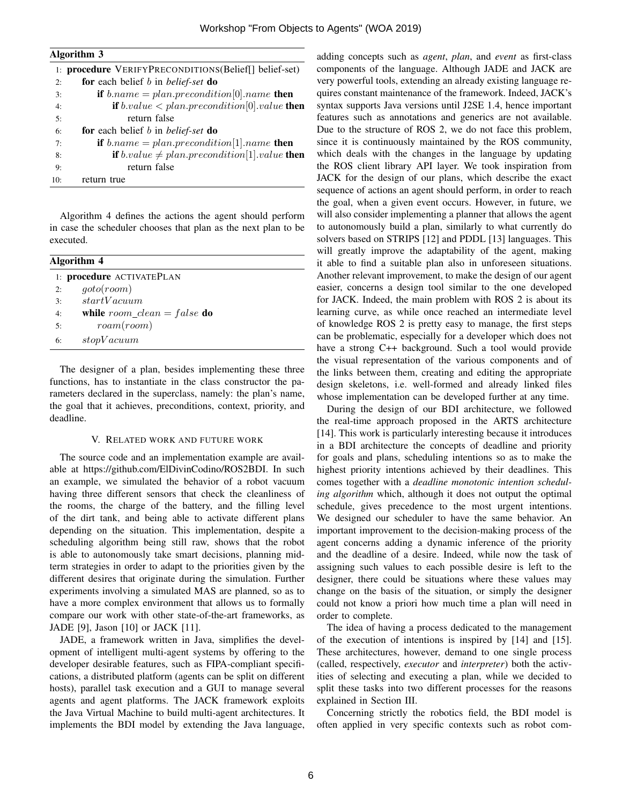| Algorithm 3 |
|-------------|
|-------------|

|     | 1: procedure VERIFYPRECONDITIONS(Belief[] belief-set)           |
|-----|-----------------------------------------------------------------|
| 2:  | for each belief b in belief-set do                              |
| 3:  | <b>if</b> $b.name = plan.precondition[0].name$ <b>then</b>      |
| 4:  | <b>if</b> $b.value < plan. precondition[0].value$ then          |
| 5:  | return false                                                    |
| 6:  | for each belief b in belief-set do                              |
| 7:  | <b>if</b> $b.name = plan.precondition[1].name$ <b>then</b>      |
| 8:  | <b>if</b> $b.value \neq plan.precondition[1].value$ <b>then</b> |
| 9:  | return false                                                    |
| 10: | return true                                                     |

Algorithm 4 defines the actions the agent should perform in case the scheduler chooses that plan as the next plan to be executed.

| Algorithm 4 |                                                                    |
|-------------|--------------------------------------------------------------------|
|             | 1: procedure ACTIVATEPLAN                                          |
| 2:          | qoto(room)                                                         |
| 3:          | startVacuum                                                        |
| 4:          | while room_clean = false do                                        |
| 5:          | $r \text{o} \text{a} \text{m} \text{r} \text{o} \text{o} \text{m}$ |
| 6:          | stopVacuum                                                         |

The designer of a plan, besides implementing these three functions, has to instantiate in the class constructor the parameters declared in the superclass, namely: the plan's name, the goal that it achieves, preconditions, context, priority, and deadline.

#### V. RELATED WORK AND FUTURE WORK

The source code and an implementation example are available at https://github.com/ElDivinCodino/ROS2BDI. In such an example, we simulated the behavior of a robot vacuum having three different sensors that check the cleanliness of the rooms, the charge of the battery, and the filling level of the dirt tank, and being able to activate different plans depending on the situation. This implementation, despite a scheduling algorithm being still raw, shows that the robot is able to autonomously take smart decisions, planning midterm strategies in order to adapt to the priorities given by the different desires that originate during the simulation. Further experiments involving a simulated MAS are planned, so as to have a more complex environment that allows us to formally compare our work with other state-of-the-art frameworks, as JADE [9], Jason [10] or JACK [11].

JADE, a framework written in Java, simplifies the development of intelligent multi-agent systems by offering to the developer desirable features, such as FIPA-compliant specifications, a distributed platform (agents can be split on different hosts), parallel task execution and a GUI to manage several agents and agent platforms. The JACK framework exploits the Java Virtual Machine to build multi-agent architectures. It implements the BDI model by extending the Java language,

adding concepts such as *agent*, *plan*, and *event* as first-class components of the language. Although JADE and JACK are very powerful tools, extending an already existing language requires constant maintenance of the framework. Indeed, JACK's syntax supports Java versions until J2SE 1.4, hence important features such as annotations and generics are not available. Due to the structure of ROS 2, we do not face this problem, since it is continuously maintained by the ROS community, which deals with the changes in the language by updating the ROS client library API layer. We took inspiration from JACK for the design of our plans, which describe the exact sequence of actions an agent should perform, in order to reach the goal, when a given event occurs. However, in future, we will also consider implementing a planner that allows the agent to autonomously build a plan, similarly to what currently do solvers based on STRIPS [12] and PDDL [13] languages. This will greatly improve the adaptability of the agent, making it able to find a suitable plan also in unforeseen situations. Another relevant improvement, to make the design of our agent easier, concerns a design tool similar to the one developed for JACK. Indeed, the main problem with ROS 2 is about its learning curve, as while once reached an intermediate level of knowledge ROS 2 is pretty easy to manage, the first steps can be problematic, especially for a developer which does not have a strong C<sup>++</sup> background. Such a tool would provide the visual representation of the various components and of the links between them, creating and editing the appropriate design skeletons, i.e. well-formed and already linked files whose implementation can be developed further at any time.

During the design of our BDI architecture, we followed the real-time approach proposed in the ARTS architecture [14]. This work is particularly interesting because it introduces in a BDI architecture the concepts of deadline and priority for goals and plans, scheduling intentions so as to make the highest priority intentions achieved by their deadlines. This comes together with a *deadline monotonic intention scheduling algorithm* which, although it does not output the optimal schedule, gives precedence to the most urgent intentions. We designed our scheduler to have the same behavior. An important improvement to the decision-making process of the agent concerns adding a dynamic inference of the priority and the deadline of a desire. Indeed, while now the task of assigning such values to each possible desire is left to the designer, there could be situations where these values may change on the basis of the situation, or simply the designer could not know a priori how much time a plan will need in order to complete.

The idea of having a process dedicated to the management of the execution of intentions is inspired by [14] and [15]. These architectures, however, demand to one single process (called, respectively, *executor* and *interpreter*) both the activities of selecting and executing a plan, while we decided to split these tasks into two different processes for the reasons explained in Section III.

Concerning strictly the robotics field, the BDI model is often applied in very specific contexts such as robot com